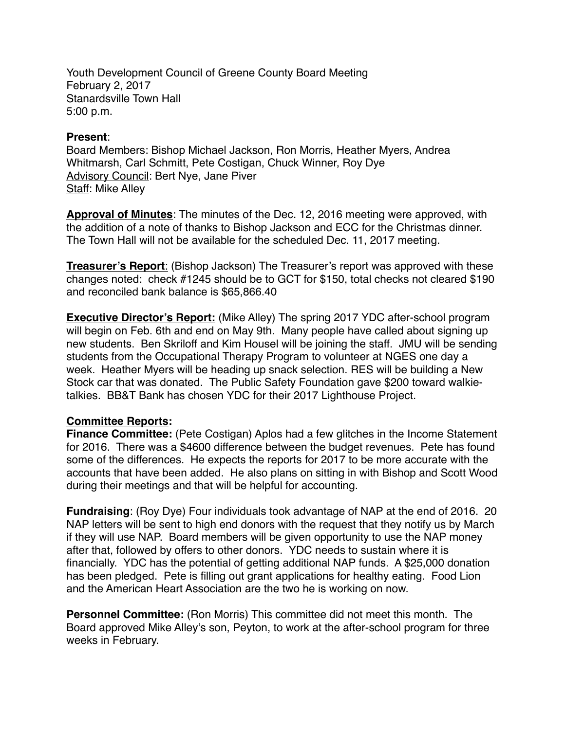Youth Development Council of Greene County Board Meeting February 2, 2017 Stanardsville Town Hall 5:00 p.m.

## **Present**:

Board Members: Bishop Michael Jackson, Ron Morris, Heather Myers, Andrea Whitmarsh, Carl Schmitt, Pete Costigan, Chuck Winner, Roy Dye Advisory Council: Bert Nye, Jane Piver Staff: Mike Alley

**Approval of Minutes**: The minutes of the Dec. 12, 2016 meeting were approved, with the addition of a note of thanks to Bishop Jackson and ECC for the Christmas dinner. The Town Hall will not be available for the scheduled Dec. 11, 2017 meeting.

**Treasurer's Report**: (Bishop Jackson) The Treasurer's report was approved with these changes noted: check #1245 should be to GCT for \$150, total checks not cleared \$190 and reconciled bank balance is \$65,866.40

**Executive Director's Report:** (Mike Alley) The spring 2017 YDC after-school program will begin on Feb. 6th and end on May 9th. Many people have called about signing up new students. Ben Skriloff and Kim Housel will be joining the staff. JMU will be sending students from the Occupational Therapy Program to volunteer at NGES one day a week. Heather Myers will be heading up snack selection. RES will be building a New Stock car that was donated. The Public Safety Foundation gave \$200 toward walkietalkies. BB&T Bank has chosen YDC for their 2017 Lighthouse Project.

## **Committee Reports:**

**Finance Committee:** (Pete Costigan) Aplos had a few glitches in the Income Statement for 2016. There was a \$4600 difference between the budget revenues. Pete has found some of the differences. He expects the reports for 2017 to be more accurate with the accounts that have been added. He also plans on sitting in with Bishop and Scott Wood during their meetings and that will be helpful for accounting.

**Fundraising**: (Roy Dye) Four individuals took advantage of NAP at the end of 2016. 20 NAP letters will be sent to high end donors with the request that they notify us by March if they will use NAP. Board members will be given opportunity to use the NAP money after that, followed by offers to other donors. YDC needs to sustain where it is financially. YDC has the potential of getting additional NAP funds. A \$25,000 donation has been pledged. Pete is filling out grant applications for healthy eating. Food Lion and the American Heart Association are the two he is working on now.

**Personnel Committee:** (Ron Morris) This committee did not meet this month. The Board approved Mike Alley's son, Peyton, to work at the after-school program for three weeks in February.